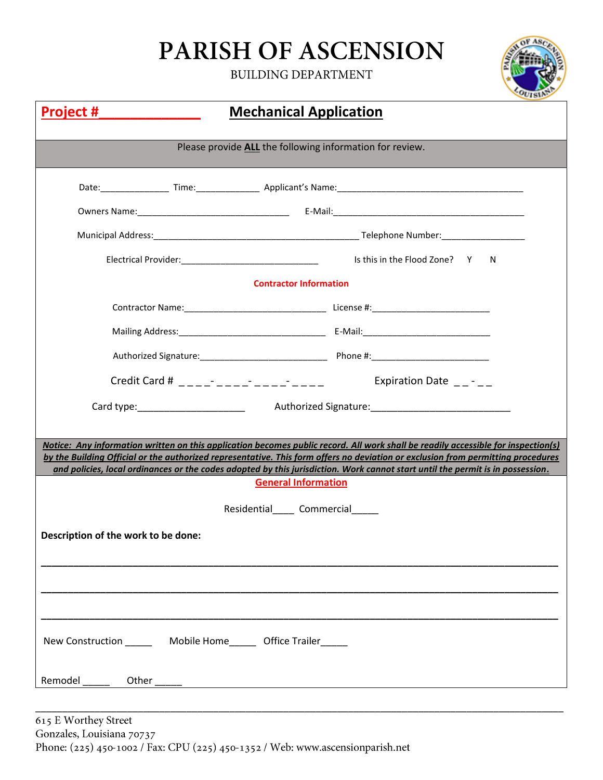## PARISH OF ASCENSION

**BUILDING DEPARTMENT** 



| <u>Project #</u>                                                                                                                                                                                                                                                                                 | <b>Mechanical Application</b>                                                                                                                                                                                                                                                                                                                       |  |  |  |  |  |
|--------------------------------------------------------------------------------------------------------------------------------------------------------------------------------------------------------------------------------------------------------------------------------------------------|-----------------------------------------------------------------------------------------------------------------------------------------------------------------------------------------------------------------------------------------------------------------------------------------------------------------------------------------------------|--|--|--|--|--|
| Please provide ALL the following information for review.                                                                                                                                                                                                                                         |                                                                                                                                                                                                                                                                                                                                                     |  |  |  |  |  |
|                                                                                                                                                                                                                                                                                                  |                                                                                                                                                                                                                                                                                                                                                     |  |  |  |  |  |
|                                                                                                                                                                                                                                                                                                  |                                                                                                                                                                                                                                                                                                                                                     |  |  |  |  |  |
|                                                                                                                                                                                                                                                                                                  |                                                                                                                                                                                                                                                                                                                                                     |  |  |  |  |  |
|                                                                                                                                                                                                                                                                                                  | Electrical Provider:<br>Y<br>N.                                                                                                                                                                                                                                                                                                                     |  |  |  |  |  |
|                                                                                                                                                                                                                                                                                                  | <b>Contractor Information</b>                                                                                                                                                                                                                                                                                                                       |  |  |  |  |  |
|                                                                                                                                                                                                                                                                                                  |                                                                                                                                                                                                                                                                                                                                                     |  |  |  |  |  |
|                                                                                                                                                                                                                                                                                                  |                                                                                                                                                                                                                                                                                                                                                     |  |  |  |  |  |
|                                                                                                                                                                                                                                                                                                  |                                                                                                                                                                                                                                                                                                                                                     |  |  |  |  |  |
|                                                                                                                                                                                                                                                                                                  | Credit Card # $\frac{1}{2}$ $\frac{1}{2}$ $\frac{1}{2}$ $\frac{1}{2}$ $\frac{1}{2}$ $\frac{1}{2}$ $\frac{1}{2}$ $\frac{1}{2}$ $\frac{1}{2}$ $\frac{1}{2}$ $\frac{1}{2}$ $\frac{1}{2}$ $\frac{1}{2}$ $\frac{1}{2}$ $\frac{1}{2}$ $\frac{1}{2}$ $\frac{1}{2}$ $\frac{1}{2}$ $\frac{1}{2}$ $\frac{1}{2}$ $\frac{1}{2$<br>Expiration Date $\_\$ - $\_\$ |  |  |  |  |  |
|                                                                                                                                                                                                                                                                                                  |                                                                                                                                                                                                                                                                                                                                                     |  |  |  |  |  |
|                                                                                                                                                                                                                                                                                                  |                                                                                                                                                                                                                                                                                                                                                     |  |  |  |  |  |
|                                                                                                                                                                                                                                                                                                  | Notice: Any information written on this application becomes public record. All work shall be readily accessible for inspection(s)                                                                                                                                                                                                                   |  |  |  |  |  |
| by the Building Official or the authorized representative. This form offers no deviation or exclusion from permitting procedures<br>and policies, local ordinances or the codes adopted by this jurisdiction. Work cannot start until the permit is in possession.<br><b>General Information</b> |                                                                                                                                                                                                                                                                                                                                                     |  |  |  |  |  |
| Residential Commercial                                                                                                                                                                                                                                                                           |                                                                                                                                                                                                                                                                                                                                                     |  |  |  |  |  |
| Description of the work to be done:                                                                                                                                                                                                                                                              |                                                                                                                                                                                                                                                                                                                                                     |  |  |  |  |  |
|                                                                                                                                                                                                                                                                                                  |                                                                                                                                                                                                                                                                                                                                                     |  |  |  |  |  |
|                                                                                                                                                                                                                                                                                                  |                                                                                                                                                                                                                                                                                                                                                     |  |  |  |  |  |
|                                                                                                                                                                                                                                                                                                  |                                                                                                                                                                                                                                                                                                                                                     |  |  |  |  |  |
| New Construction _________ Mobile Home________ Office Trailer_______                                                                                                                                                                                                                             |                                                                                                                                                                                                                                                                                                                                                     |  |  |  |  |  |
| Remodel<br>Other                                                                                                                                                                                                                                                                                 |                                                                                                                                                                                                                                                                                                                                                     |  |  |  |  |  |

\_\_\_\_\_\_\_\_\_\_\_\_\_\_\_\_\_\_\_\_\_\_\_\_\_\_\_\_\_\_\_\_\_\_\_\_\_\_\_\_\_\_\_\_\_\_\_\_\_\_\_\_\_\_\_\_\_\_\_\_\_\_\_\_\_\_\_\_\_\_\_\_\_\_\_\_\_\_\_\_\_\_\_\_\_\_\_\_\_\_\_\_\_\_\_\_\_\_